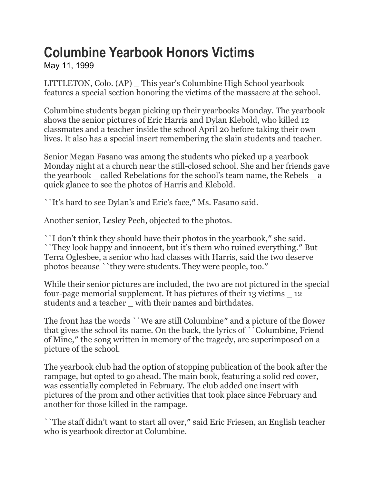## **Columbine Yearbook Honors Victims**

May 11, 1999

LITTLETON, Colo. (AP) \_ This year's Columbine High School yearbook features a special section honoring the victims of the massacre at the school.

Columbine students began picking up their yearbooks Monday. The yearbook shows the senior pictures of Eric Harris and Dylan Klebold, who killed 12 classmates and a teacher inside the school April 20 before taking their own lives. It also has a special insert remembering the slain students and teacher.

Senior Megan Fasano was among the students who picked up a yearbook Monday night at a church near the still-closed school. She and her friends gave the yearbook \_ called Rebelations for the school's team name, the Rebels \_ a quick glance to see the photos of Harris and Klebold.

``It's hard to see Dylan's and Eric's face,″ Ms. Fasano said.

Another senior, Lesley Pech, objected to the photos.

``I don't think they should have their photos in the yearbook,″ she said. ``They look happy and innocent, but it's them who ruined everything.″ But Terra Oglesbee, a senior who had classes with Harris, said the two deserve photos because ``they were students. They were people, too.″

While their senior pictures are included, the two are not pictured in the special four-page memorial supplement. It has pictures of their 13 victims \_ 12 students and a teacher \_ with their names and birthdates.

The front has the words ``We are still Columbine″ and a picture of the flower that gives the school its name. On the back, the lyrics of ``Columbine, Friend of Mine,″ the song written in memory of the tragedy, are superimposed on a picture of the school.

The yearbook club had the option of stopping publication of the book after the rampage, but opted to go ahead. The main book, featuring a solid red cover, was essentially completed in February. The club added one insert with pictures of the prom and other activities that took place since February and another for those killed in the rampage.

``The staff didn't want to start all over,″ said Eric Friesen, an English teacher who is yearbook director at Columbine.